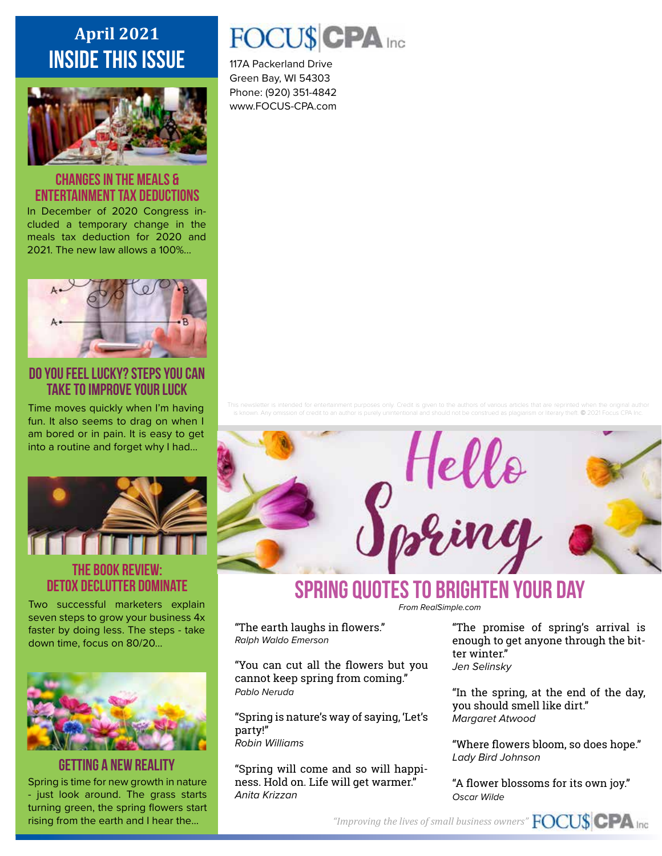# **April 2021 inside this issue**



#### **Changes in the Meals & Entertainment Tax Deductions**

In December of 2020 Congress included a temporary change in the meals tax deduction for 2020 and 2021. The new law allows a 100%...



**Do You Feel LuckY? Steps You Can Take To Improve Your Luck**

Time moves quickly when I'm having fun. It also seems to drag on when I am bored or in pain. It is easy to get into a routine and forget why I had...



### **THE BOOK REVIEW: Detox Declutter Dominate**

Two successful marketers explain seven steps to grow your business 4x faster by doing less. The steps - take down time, focus on 80/20...



# **Getting a New Reality**

Spring is time for new growth in nature - just look around. The grass starts turning green, the spring flowers start rising from the earth and I hear the...

# FOCU\$CPA Inc

117A Packerland Drive Green Bay, WI 54303 Phone: (920) 351-4842 www.FOCUS-CPA.com

This newsletter is intended for entertainment purposes only. Credit is given to the authors of various articles that are reprinted when the original author qiarism or literary theft. © 2021 Focus CPA Inc.



# **Spring Quotes to brighten your day**

*From RealSimple.com*

"The earth laughs in flowers." *Ralph Waldo Emerson*

"You can cut all the flowers but you cannot keep spring from coming." *Pablo Neruda*

"Spring is nature's way of saying, 'Let's party!" *Robin Williams*

"Spring will come and so will happiness. Hold on. Life will get warmer." *Anita Krizzan*

"The promise of spring's arrival is enough to get anyone through the bitter winter." *Jen Selinsky*

"In the spring, at the end of the day, you should smell like dirt." *Margaret Atwood*

"Where flowers bloom, so does hope." *Lady Bird Johnson*

"A flower blossoms for its own joy." *Oscar Wilde*

*"Improving the lives of small business owners"*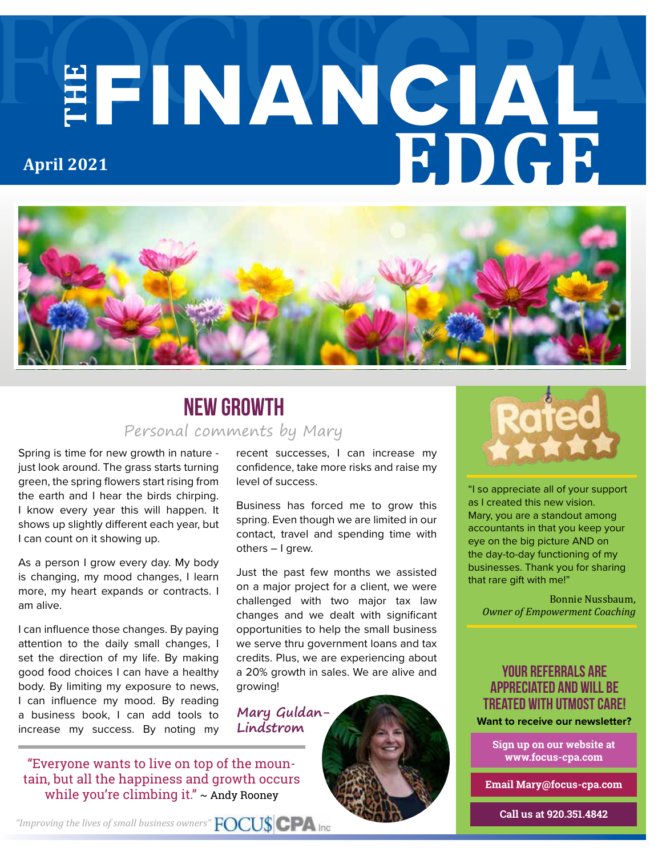# **THE** FINANCIAL **EDGE April 2021**



## Personal comments by Mary **New Growth**

Spring is time for new growth in nature just look around. The grass starts turning green, the spring flowers start rising from the earth and I hear the birds chirping. I know every year this will happen. It shows up slightly different each year, but I can count on it showing up.

As a person I grow every day. My body is changing, my mood changes, I learn more, my heart expands or contracts. I am alive.

I can influence those changes. By paying attention to the daily small changes, I set the direction of my life. By making good food choices I can have a healthy body. By limiting my exposure to news, I can influence my mood. By reading a business book, I can add tools to increase my success. By noting my recent successes, I can increase my confidence, take more risks and raise my level of success.

Business has forced me to grow this spring. Even though we are limited in our contact, travel and spending time with others – I grew.

Just the past few months we assisted on a major project for a client, we were challenged with two major tax law changes and we dealt with significant opportunities to help the small business we serve thru government loans and tax credits. Plus, we are experiencing about a 20% growth in sales. We are alive and growing!

**Lindstrom**





"I so appreciate all of your support as I created this new vision. Mary, you are a standout among accountants in that you keep your eye on the big picture AND on the day-to-day functioning of my businesses. Thank you for sharing that rare gift with me!"

Bonnie Nussbaum, *Owner of Empowerment Coaching*

#### **your referrals are appreciated and will be treated with utmost care!**

**Sign up on our website at www.focus-cpa.com**

**Email Mary@focus-cpa.com**

**Call us at 920.351.4842**

tain, but all the happiness and growth occurs while you're climbing it."  $\sim$  Andy Rooney

"Everyone wants to live on top of the moun-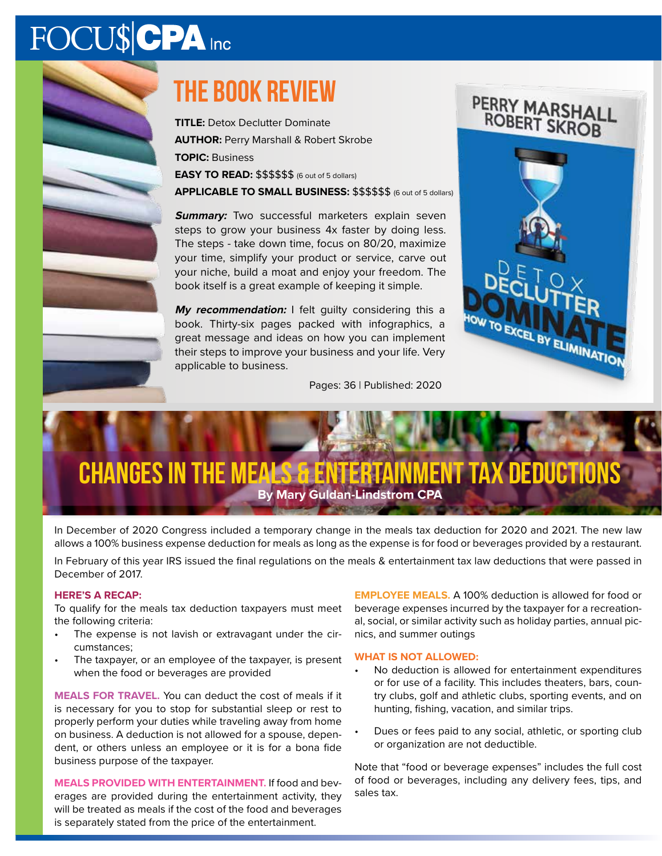# FOCU\$CPA Inc

# **The book review**

**TITLE:** Detox Declutter Dominate **AUTHOR:** Perry Marshall & Robert Skrobe **TOPIC:** Business **EASY TO READ:**  $$$ \$\$\$\$\$ (6 out of 5 dollars)

**APPLICABLE TO SMALL BUSINESS:** \$\$\$\$\$\$ (6 out of 5 dollars)

**Summary:** Two successful marketers explain seven steps to grow your business 4x faster by doing less. The steps - take down time, focus on 80/20, maximize your time, simplify your product or service, carve out your niche, build a moat and enjoy your freedom. The book itself is a great example of keeping it simple.

**My recommendation:** I felt guilty considering this a book. Thirty-six pages packed with infographics, a great message and ideas on how you can implement their steps to improve your business and your life. Very applicable to business.



#### Pages: 36 | Published: 2020

# **Changes in the Meals & Entertainment Tax Deductions By Mary Guldan-Lindstrom CPA**

In December of 2020 Congress included a temporary change in the meals tax deduction for 2020 and 2021. The new law allows a 100% business expense deduction for meals as long as the expense is for food or beverages provided by a restaurant.

In February of this year IRS issued the final regulations on the meals & entertainment tax law deductions that were passed in December of 2017.

#### **HERE'S A RECAP:**

To qualify for the meals tax deduction taxpayers must meet the following criteria:

- The expense is not lavish or extravagant under the circumstances;
- The taxpayer, or an employee of the taxpayer, is present when the food or beverages are provided

**MEALS FOR TRAVEL.** You can deduct the cost of meals if it is necessary for you to stop for substantial sleep or rest to properly perform your duties while traveling away from home on business. A deduction is not allowed for a spouse, dependent, or others unless an employee or it is for a bona fide business purpose of the taxpayer.

**MEALS PROVIDED WITH ENTERTAINMENT.** If food and beverages are provided during the entertainment activity, they will be treated as meals if the cost of the food and beverages is separately stated from the price of the entertainment.

**EMPLOYEE MEALS.** A 100% deduction is allowed for food or beverage expenses incurred by the taxpayer for a recreational, social, or similar activity such as holiday parties, annual picnics, and summer outings

#### **WHAT IS NOT ALLOWED:**

- No deduction is allowed for entertainment expenditures or for use of a facility. This includes theaters, bars, country clubs, golf and athletic clubs, sporting events, and on hunting, fishing, vacation, and similar trips.
- Dues or fees paid to any social, athletic, or sporting club or organization are not deductible.

Note that "food or beverage expenses" includes the full cost of food or beverages, including any delivery fees, tips, and sales tax.